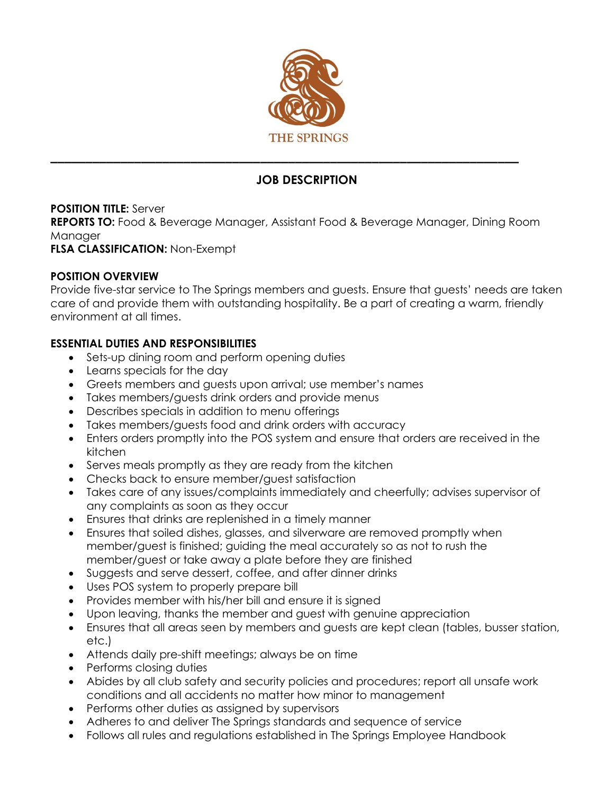

# **JOB DESCRIPTION**

# **POSITION TITLE:** Server

**REPORTS TO:** Food & Beverage Manager, Assistant Food & Beverage Manager, Dining Room Manager

## **FLSA CLASSIFICATION:** Non-Exempt

## **POSITION OVERVIEW**

Provide five-star service to The Springs members and guests. Ensure that guests' needs are taken care of and provide them with outstanding hospitality. Be a part of creating a warm, friendly environment at all times.

## **ESSENTIAL DUTIES AND RESPONSIBILITIES**

- Sets-up dining room and perform opening duties
- Learns specials for the day
- Greets members and guests upon arrival; use member's names
- Takes members/guests drink orders and provide menus
- Describes specials in addition to menu offerings
- Takes members/guests food and drink orders with accuracy
- Enters orders promptly into the POS system and ensure that orders are received in the kitchen
- Serves meals promptly as they are ready from the kitchen
- Checks back to ensure member/guest satisfaction
- Takes care of any issues/complaints immediately and cheerfully; advises supervisor of any complaints as soon as they occur
- Ensures that drinks are replenished in a timely manner
- Ensures that soiled dishes, glasses, and silverware are removed promptly when member/guest is finished; guiding the meal accurately so as not to rush the member/guest or take away a plate before they are finished
- Suggests and serve dessert, coffee, and after dinner drinks
- Uses POS system to properly prepare bill
- Provides member with his/her bill and ensure it is signed
- Upon leaving, thanks the member and guest with genuine appreciation
- Ensures that all areas seen by members and guests are kept clean (tables, busser station, etc.)
- Attends daily pre-shift meetings; always be on time
- Performs closing duties
- Abides by all club safety and security policies and procedures; report all unsafe work conditions and all accidents no matter how minor to management
- Performs other duties as assigned by supervisors
- Adheres to and deliver The Springs standards and sequence of service
- Follows all rules and regulations established in The Springs Employee Handbook